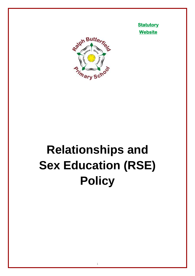**Statutory Website** 



# **Relationships and Sex Education (RSE) Policy**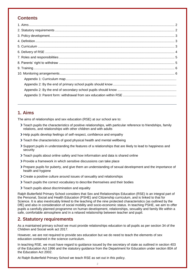## **Contents**

## <span id="page-1-0"></span>**1. Aims**

The aims of relationships and sex education (RSE) at our school are to:

- Teach pupils the characteristics of positive relationships, with particular reference to friendships, family relations, and relationships with other children and with adults
- Help pupils develop feelings of self-respect, confidence and empathy
- Teach the characteristics of good physical health and mental wellbeing
- Support pupils in understanding the features of a relationships that are likely to lead to happiness and security
- Teach pupils about online safety and how information and data is shared online
- Provide a framework in which sensitive discussions can take place
- Prepare pupils for puberty, and give them an understanding of sexual development and the importance of health and hygiene
- Create a positive culture around issues of sexuality and relationships
- Teach pupils the correct vocabulary to describe themselves and their bodies
- > Teach pupils about discrimination and equality

Ralph Butterfield Primary School considers that Sex and Relationships Education (RSE) is an integral part of the Personal, Social and Health Education (PSHE) and Citizenship curriculum, and is linked to that for Science. It is also inextricably linked to the teaching of the nine protected characteristics (as outlined by the DfE) and also in consideration of social mobility and socio-economic status. In teaching PSHE, we aim to offer pupils a carefully planned programme on human development, relationships, sexuality and family life within a safe, comfortable atmosphere and in a relaxed relationship between teacher and pupil.

### <span id="page-1-1"></span>**2. Statutory requirements**

As a maintained primary school we must provide relationships education to all pupils as per section 34 of the [Children and Social work act 2017.](http://www.legislation.gov.uk/ukpga/2017/16/section/34/enacted)

However, we are not required to provide sex education but we do need to teach the elements of sex education contained in the science curriculum.

In teaching RSE, we must have regard to [guidance](https://www.gov.uk/government/consultations/relationships-and-sex-education-and-health-education) issued by the secretary of state as outlined in section 403 of the Education Act 1996 [and the statutory guidance from the Department for Education under section 80A of](http://www.legislation.gov.uk/ukpga/1996/56/contents)  [the Education Act 2002.](http://www.legislation.gov.uk/ukpga/1996/56/contents)

At Ralph Butterfield Primary School we teach RSE as set out in this policy.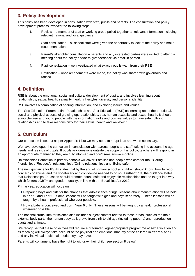## <span id="page-2-0"></span>**3. Policy development**

This policy has been developed in consultation with staff, pupils and parents. The consultation and policy development process involved the following steps:

- 1. Review a member of staff or working group pulled together all relevant information including relevant national and local guidance
- 2. Staff consultation all school staff were given the opportunity to look at the policy and make recommendations
- 3. Parent/stakeholder consultation parents and any interested parties were invited to attend a meeting about the policy and/or to give feedback via email/in person
- 4. Pupil consultation we investigated what exactly pupils want from their RSE
- 5. Ratification once amendments were made, the policy was shared with governors and ratified

## <span id="page-2-1"></span>**4. Definition**

RSE is about the emotional, social and cultural development of pupils, and involves learning about relationships, sexual health, sexuality, healthy lifestyles, diversity and personal identity.

RSE involves a combination of sharing information, and exploring issues and values.

The Sex Education Forum define Relationships and Sex Education (RSE) as learning about the emotional, social and physical aspects of growing up, relationships, sex, human sexuality and sexual health. It should equip children and young people with the information, skills and positive values to have safe, fulfilling relationships and to take responsibility for their sexual health and well-being.

## <span id="page-2-2"></span>**5. Curriculum**

Our curriculum is set out as per Appendix 1 but we may need to adapt it as and when necessary.

We have developed the curriculum in consultation with parents, pupils and staff, taking into account the age, needs and feelings of pupils. If pupils ask questions outside the scope of this policy, teachers will respond in an appropriate manner so they are fully informed and don't seek answers online.

Relationships Education in primary schools will cover 'Families and people who care for me', 'Caring friendships', 'Respectful relationships', 'Online relationships', and 'Being safe'.

The new guidance for PSHE states that by the end of primary school all children should know: 'how to report concerns or abuse, and the vocabulary and confidence needed to do so'. Furthermore, the guidance states that Relationships Education should promote equal, safe and enjoyable relationships and be taught in a way which fosters LGBT+ and gender equality, in line with the Equalities Act 2010.

Primary sex education will focus on:

- Preparing boys and girls for the changes that adolescence brings; lessons about menstruation will be held in Year 5 and Year 6. Some lessons will be taught with girls and boys separately. These lessons will be taught by a health professional wherever possible.
- How a baby is conceived and born; Year 6 only. These lessons will be taught by a health professional wherever possible.

The national curriculum for science also includes subject content related to these areas, such as the main external body parts, the human body as it grows from birth to old age (including puberty) and reproduction in plants and animals.

We recognise that these objectives will require a graduated, age-appropriate programme of sex education and its teaching will always take account of the physical and emotional maturity of the children in Years 5 and 6 and any individual additional needs they may have.

<span id="page-2-3"></span>Parents will continue to have the right to withdraw their child (see section 8 below).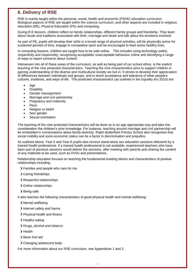## **6. Delivery of RSE**

RSE is mainly taught within the personal, social, health and economic (PSHE) education curriculum. Biological aspects of RSE are taught within the science curriculum, and other aspects are included in religious education (RE), Physical Education (PE) and computing.

During R.E lessons, children reflect on family relationships, different family groups and friendship. They learn about rituals and traditions associated with birth, marriage and death and talk about the emotions involved.

As part of PE, pupils will develop their skills in a broad range of physical activities, will be physically active for sustained periods of time, engage in competitive sport and be encouraged to lead active healthy lives.

In computing lessons, children are taught how to be safe online. This includes using technology safely, respectfully and responsibly; recognising acceptable/ unacceptable behaviour online and identifying a range of ways to report concerns about content.

Interwoven into all of these areas of the curriculum, as well as being part of our school ethos, is the explicit teaching of the nine protected characteristics. Teaching the nine characteristics aims to support children in gaining understanding of the diverse and multicultural society we live in. It strives to develop their appreciation of differences between individuals and groups, and to teach acceptance and tolerance of other people's cultures, traditions, and ways of life. The protected characteristics (as outlined in the Equality Act 2010) are:

- Age
- **Disability**
- Gender reassignment
- Marriage and civil partnership
- Pregnancy and maternity
- Race
- Religion or belief
- Sex/ gender
- Sexual orientation

The teaching of the nine protected characteristics will be done so in an age-appropriate way and take into consideration the children's prior knowledge. For instance, teaching around marriage and civil partnership will be embedded in conversations about family diversity. Ralph Butterfield Primary School also recognises that social mobility and socio-economic status can be a factor in discrimination and prejudice.

As outlined above, Year 5 and Year 6 pupils also receive stand-alone sex education sessions delivered by a trained health professional. If a trained health professional is not available, experienced teachers who have been part of previous sessions would deliver the sessions, after meeting with parents and sharing the content of any materials to be used, such as DVDs and presentations.

Relationship education focuses on teaching the fundamental building blocks and characteristics of positive relationships including:

- Families and people who care for me
- > Caring friendships
- > Respectful relationships
- > Online relationships
- > Being safe

It also teaches the following characteristics of good physical health and mental wellbeing:

- > Mental wellbeing
- Internet safety and harms
- > Physical health and fitness
- > Healthy eating
- > Drugs, alcohol and tobacco
- > Health
- > Basic first aid
- Changing adolescent body

For more information about our RSE curriculum, see Appendices 1 and 2.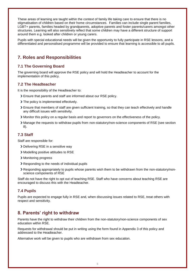These areas of learning are taught within the context of family life taking care to ensure that there is no stigmatisation of children based on their home circumstances. Families can include single parent families, LGBT+ parents, families headed by grandparents, adoptive parents and foster parents/carers amongst other structures. Learning will also sensitively reflect that some children may have a different structure of support around them e.g. looked after children or young carers.

<span id="page-4-0"></span>Pupils with special educational needs will be given the opportunity to fully participate in RSE lessons, and a differentiated and personalised programme will be provided to ensure that learning is accessible to all pupils.

# **7. Roles and Responsibilities**

#### **7.1 The Governing Board**

The governing board will approve the RSE policy and will hold the Headteacher to account for the implementation of this policy.

#### **7.2 The Headteacher**

It is the responsibility of the Headteacher to:

- Ensure that parents and staff are informed about our RSE policy.
- > The policy is implemented effectively.
- Ensure that members of staff are given sufficient training, so that they can teach effectively and handle any difficult issues with sensitivity.
- Monitor this policy on a regular basis and report to governors on the effectiveness of the policy.
- Manage the requests to withdraw pupils from non-statutory/non-science components of RSE (see section 8).

#### **7.3 Staff**

Staff are responsible for:

- Delivering RSE in a sensitive way
- Modelling positive attitudes to RSE
- Monitoring progress
- Responding to the needs of individual pupils
- Responding appropriately to pupils whose parents wish them to be withdrawn from the non-statutory/nonscience components of RSE

Staff do not have the right to opt out of teaching RSE. Staff who have concerns about teaching RSE are encouraged to discuss this with the Headteacher.

#### **7.4 Pupils**

Pupils are expected to engage fully in RSE and, when discussing issues related to RSE, treat others with respect and sensitivity.

## <span id="page-4-1"></span>**8. Parents' right to withdraw**

Parents have the right to withdraw their children from the non-statutory/non-science components of sex education within RSE.

Requests for withdrawal should be put in writing using the form found in Appendix 3 of this policy and addressed to the Headteacher.

Alternative work will be given to pupils who are withdrawn from sex education.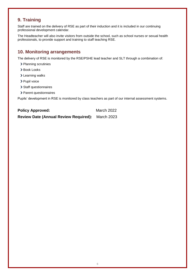# <span id="page-5-0"></span>**9. Training**

Staff are trained on the delivery of RSE as part of their induction and it is included in our continuing professional development calendar.

The Headteacher will also invite visitors from outside the school, such as school nurses or sexual health professionals, to provide support and training to staff teaching RSE.

# <span id="page-5-1"></span>**10. Monitoring arrangements**

The delivery of RSE is monitored by the RSE/PSHE lead teacher and SLT through a combination of:

- > Planning scrutinies
- Book Looks
- > Learning walks
- > Pupil voice
- > Staff questionnaires
- > Parent questionnaires

Pupils' development in RSE is monitored by class teachers as part of our internal assessment systems.

| <b>Policy Approved:</b>                                 | March 2022 |
|---------------------------------------------------------|------------|
| <b>Review Date (Annual Review Required):</b> March 2023 |            |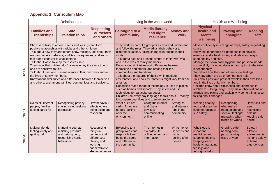# **Appendix 1: Curriculum Map**

|                           |                                                                                                   | <b>Relationships</b>                                                                                                                                                                                                                                                                                                                                                                                                                                                                                                                                   |                                                                                                                        |                                                                                                                                  | Living in the wider world                                                                                                                                                                                                                                                                                                                                                                                                                                                                                                                                                                                                                                     |                                                                 |                                                                                                                                                                                                                                                                                                                                                                                                                                                                                                                                                                                                                                                                                                                                         | <b>Health and Wellbeing</b>                                                                            |                                                                                       |
|---------------------------|---------------------------------------------------------------------------------------------------|--------------------------------------------------------------------------------------------------------------------------------------------------------------------------------------------------------------------------------------------------------------------------------------------------------------------------------------------------------------------------------------------------------------------------------------------------------------------------------------------------------------------------------------------------------|------------------------------------------------------------------------------------------------------------------------|----------------------------------------------------------------------------------------------------------------------------------|---------------------------------------------------------------------------------------------------------------------------------------------------------------------------------------------------------------------------------------------------------------------------------------------------------------------------------------------------------------------------------------------------------------------------------------------------------------------------------------------------------------------------------------------------------------------------------------------------------------------------------------------------------------|-----------------------------------------------------------------|-----------------------------------------------------------------------------------------------------------------------------------------------------------------------------------------------------------------------------------------------------------------------------------------------------------------------------------------------------------------------------------------------------------------------------------------------------------------------------------------------------------------------------------------------------------------------------------------------------------------------------------------------------------------------------------------------------------------------------------------|--------------------------------------------------------------------------------------------------------|---------------------------------------------------------------------------------------|
|                           | <b>Families and</b><br>friendships                                                                | <b>Safe</b><br>relationships                                                                                                                                                                                                                                                                                                                                                                                                                                                                                                                           | <b>Respecting</b><br>ourselves<br>and others                                                                           | <b>Belonging to a</b><br>community                                                                                               | <b>Media literacy</b><br>and digital<br>resilience                                                                                                                                                                                                                                                                                                                                                                                                                                                                                                                                                                                                            | <b>Money and</b><br>work                                        | <b>Physical</b><br>health and<br><b>Mental</b><br>wellbeing                                                                                                                                                                                                                                                                                                                                                                                                                                                                                                                                                                                                                                                                             | <b>Growing and</b><br>changing                                                                         | <b>Keeping</b><br>safe                                                                |
| EYFS                      | that some behavior is unacceptable.<br>and are sensitive to this.<br>the lives of family members. | Show sensitivity to others' needs and feelings and form<br>positive relationships with adults and other children.<br>Talk about how they and others show feelings, talk about their<br>own and others' behavior, and its consequences, and know<br>Talk about ways to keep themselves safe.<br>They know that children don't always enjoy the same things<br>Talk about past and present events in their own lives and in<br>Know about similarities and differences between themselves<br>and others, and among families, communities and traditions. |                                                                                                                        | stride.<br>and in the lives of family members.<br>communities and traditions.<br>another.<br>technology for particular purposes. | They work as part of a group or a class and understand<br>and follow the rules. They adjust their behavior to<br>different situations, taking changes in routine in their<br>Talk about past and present events in their own lives<br>Know about similarities and differences between<br>themselves and others, and among families,<br>Talk about the features of their own immediate<br>environment and how environments might vary from one<br>Recognise that a range of technology is used in places<br>such as homes and schools. They select and use<br>Children use every day language to talk about money<br>to compare quantities and solve problems. |                                                                 | Move confidently in a range of ways, safely negotiating<br>space.<br>Know the importance for good health of physical<br>exercise, and a healthy diet, and talk about ways to<br>keep healthy and safe.<br>Manage their own basic hygiene and personal needs<br>successfully, including dressing and going to the toilet<br>independently.<br>Talk about how they and others show feelings<br>They say when the do or do not need help.<br>Talk about past and present events in their own lives<br>and in the lives of family members.<br>Children know about similarities and difference in<br>relation to living things. They make observations of<br>animals and plants and explain why some things occur,<br>talking about changes. |                                                                                                        |                                                                                       |
| Year <sub>1</sub>         | <b>Roles of Different</b><br>people; families;<br>feeling cared for                               | Recognising privacy;<br>staying safe; seeking<br>permission                                                                                                                                                                                                                                                                                                                                                                                                                                                                                            | How behaviour<br>affects others;<br>being polite and<br>respectful                                                     | What rules are;<br>caring for others'<br>needs; looking<br>after the<br>environment                                              | Using the internet<br>and digital<br>devices;<br>communicating<br>online                                                                                                                                                                                                                                                                                                                                                                                                                                                                                                                                                                                      | <b>Strengths</b><br>and interests;<br>jobs in the<br>community  | Keeping healthy;<br>food and exercise,<br>hygiene routines;<br>sun safety                                                                                                                                                                                                                                                                                                                                                                                                                                                                                                                                                                                                                                                               | Recognising<br>what makes<br>them unique and<br>special; feelings;<br>managing when<br>things go wrong | How rules and<br>age<br>restrictions<br>help us;<br>keeping safe<br>online            |
| $\mathbf{\Omega}$<br>Year | Making friends;<br>feeling lonely and<br>getting help                                             | Managing secrets;<br>resisting pressure<br>and getting help;<br>recognising hurtful<br>behaviour                                                                                                                                                                                                                                                                                                                                                                                                                                                       | Recognising<br>things in<br>common and<br>differences;<br>playing and<br>working<br>cooperatively;<br>sharing opinions | Belonging to a<br>group; roles and<br>responsibilities;<br>being the same<br>and different in<br>the community                   | The internet in<br>everyday life;<br>online content and<br>information                                                                                                                                                                                                                                                                                                                                                                                                                                                                                                                                                                                        | What money<br>is; needs and<br>wants:<br>looking after<br>money | Why sleep is<br>important;<br>medicines and<br>keeping healthy;<br>keeping teeth<br>healthy; managing<br>feelings and<br>asking for help                                                                                                                                                                                                                                                                                                                                                                                                                                                                                                                                                                                                | Growing older;<br>naming body<br>parts; moving<br>class or year                                        | Safety in<br>different<br>environments:<br>risk and safety<br>at home;<br>emergencies |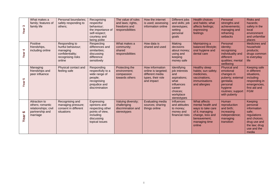| S<br>Year | What makes a<br>family; features of<br>family life                                       | Personal boundaries;<br>safely responding to<br>others:                                            | Recognising<br>respectful<br>behaviour;<br>the importance of<br>self-respect;<br>courtesy and<br>being polite  | The value of rules<br>and laws; rights,<br>freedoms and<br>responsibilities | How the internet<br>is used; assessing<br>information online                                 | Different jobs<br>and skills; job<br>stereotypes;<br>setting<br>personal<br>goals                                           | <b>Health choices</b><br>and habits; what<br>affects feelings;<br>expressing<br>feelings                                                 | Personal<br>strengths and<br>achievements;<br>managing and<br>reframing<br>setbacks                                                    | <b>Risks and</b><br>hazards;<br>safety in the<br>local<br>environment<br>and unfamiliar<br>places                                   |
|-----------|------------------------------------------------------------------------------------------|----------------------------------------------------------------------------------------------------|----------------------------------------------------------------------------------------------------------------|-----------------------------------------------------------------------------|----------------------------------------------------------------------------------------------|-----------------------------------------------------------------------------------------------------------------------------|------------------------------------------------------------------------------------------------------------------------------------------|----------------------------------------------------------------------------------------------------------------------------------------|-------------------------------------------------------------------------------------------------------------------------------------|
| 4<br>Year | Positive<br>friendships,<br>including online                                             | Responding to<br>hurtful behaviour;<br>managing<br>confidentiality;<br>recognising risks<br>online | Respecting<br>differences and<br>similarities;<br>discussing<br>difference<br>sensitively                      | What makes a<br>community;<br>shared<br>responsibilities                    | How data is<br>shared and used                                                               | <b>Making</b><br>decisions<br>about money:<br>using and<br>keeping<br>money safe                                            | Maintaining a<br>balanced lifestyle;<br>oral hygiene and<br>dental care                                                                  | Personal<br>identity;<br>recognising<br>individuality and<br>different<br>qualities; mental<br>wellbeing                               | <b>Medicines and</b><br>household<br>products;<br>drugs common<br>to everyday<br>life                                               |
| 5<br>Year | Managing<br>friendships and<br>peer influence                                            | Physical contact and<br>feeling safe                                                               | Responding<br>respectfully to a<br>wide range of<br>people;<br>recognising<br>prejudice and<br>discrimination  | Protecting the<br>environment:<br>compassion<br>towards others              | How information<br>online is targeted;<br>different media<br>types, their role<br>and impact | Identifying<br>job interests<br>and<br>aspirations;<br>what<br>influences<br>career<br>choices;<br>workplace<br>stereotypes | <b>Healthy sleep</b><br>habits; sun safety;<br>medicines,<br>vaccinations,<br>immunisations<br>and allergies                             | Physical and<br>emotional<br>changes in<br>puberty; external<br>genitalia;<br>personal<br>hygiene<br>routines; support<br>with puberty | Keeping safe<br>in different<br>situations,<br>including<br>responding in<br>emergencies,<br>first aid and<br><b>FGM</b>            |
| ဖ<br>Year | Attraction to<br>others; romantic<br>relationships; civil<br>partnership and<br>marriage | Recognising and<br>managing pressure;<br>consent in different<br>situations                        | Expressing<br>opinions and<br>respecting other<br>points of view,<br>including<br>discussing<br>topical issues | Valuing diversity;<br>challenging<br>discrimination and<br>stereotypes      | <b>Evaluating media</b><br>sources; sharing<br>things online                                 | <b>Influences</b><br>and attitudes<br>to money:<br>money and<br>financial risks                                             | What affects<br>mental health and<br>ways to take care<br>of it; managing<br>change, loss and<br>bereavement:<br>managing time<br>online | Human<br>reproduction<br>and birth;<br>increasing<br>independence;<br>managing<br>transition                                           | Keeping<br>personal<br>information<br>safe;<br>regulations<br>and choices;<br>drug use and<br>the law; drug<br>use and the<br>media |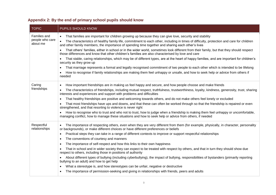| Appendix 2: By the end of primary school pupils should know |
|-------------------------------------------------------------|
|-------------------------------------------------------------|

<span id="page-8-0"></span>

| <b>TOPIC</b>                                | PUPILS SHOULD KNOW                                                                                                                                                                                                                                                                                                                                                                                                                                                                                                                                                                                                                                                                                                                                                                                                                                                                                                                                                                                                                                                                                                      |
|---------------------------------------------|-------------------------------------------------------------------------------------------------------------------------------------------------------------------------------------------------------------------------------------------------------------------------------------------------------------------------------------------------------------------------------------------------------------------------------------------------------------------------------------------------------------------------------------------------------------------------------------------------------------------------------------------------------------------------------------------------------------------------------------------------------------------------------------------------------------------------------------------------------------------------------------------------------------------------------------------------------------------------------------------------------------------------------------------------------------------------------------------------------------------------|
| Families and<br>people who care<br>about me | That families are important for children growing up because they can give love, security and stability<br>$\bullet$<br>The characteristics of healthy family life, commitment to each other, including in times of difficulty, protection and care for children<br>$\bullet$<br>and other family members, the importance of spending time together and sharing each other's lives<br>That others' families, either in school or in the wider world, sometimes look different from their family, but that they should respect<br>$\bullet$<br>those differences and know that other children's families are also characterised by love and care<br>That stable, caring relationships, which may be of different types, are at the heart of happy families, and are important for children's<br>$\bullet$<br>security as they grow up<br>That marriage represents a formal and legally recognised commitment of two people to each other which is intended to be lifelong<br>How to recognise if family relationships are making them feel unhappy or unsafe, and how to seek help or advice from others if<br>needed     |
| Caring<br>friendships                       | How important friendships are in making us feel happy and secure, and how people choose and make friends<br>$\bullet$<br>The characteristics of friendships, including mutual respect, truthfulness, trustworthiness, loyalty, kindness, generosity, trust, sharing<br>$\bullet$<br>interests and experiences and support with problems and difficulties<br>That healthy friendships are positive and welcoming towards others, and do not make others feel lonely or excluded<br>$\bullet$<br>That most friendships have ups and downs, and that these can often be worked through so that the friendship is repaired or even<br>strengthened, and that resorting to violence is never right<br>How to recognise who to trust and who not to trust, how to judge when a friendship is making them feel unhappy or uncomfortable,<br>managing conflict, how to manage these situations and how to seek help or advice from others, if needed                                                                                                                                                                            |
| Respectful<br>relationships                 | The importance of respecting others, even when they are very different from them (for example, physically, in character, personality<br>$\bullet$<br>or backgrounds), or make different choices or have different preferences or beliefs<br>Practical steps they can take in a range of different contexts to improve or support respectful relationships<br>$\bullet$<br>The conventions of courtesy and manners<br>$\bullet$<br>The importance of self-respect and how this links to their own happiness<br>$\bullet$<br>That in school and in wider society they can expect to be treated with respect by others, and that in turn they should show due<br>respect to others, including those in positions of authority<br>About different types of bullying (including cyberbullying), the impact of bullying, responsibilities of bystanders (primarily reporting<br>bullying to an adult) and how to get help<br>What a stereotype is, and how stereotypes can be unfair, negative or destructive<br>$\bullet$<br>The importance of permission-seeking and giving in relationships with friends, peers and adults |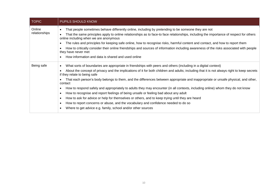| <b>TOPIC</b>            | PUPILS SHOULD KNOW                                                                                                                                                                                                                                                                                                                                                                                                                                                                                                                                                                                                                                                                                                                                                                                                                                                                                                                                                     |
|-------------------------|------------------------------------------------------------------------------------------------------------------------------------------------------------------------------------------------------------------------------------------------------------------------------------------------------------------------------------------------------------------------------------------------------------------------------------------------------------------------------------------------------------------------------------------------------------------------------------------------------------------------------------------------------------------------------------------------------------------------------------------------------------------------------------------------------------------------------------------------------------------------------------------------------------------------------------------------------------------------|
| Online<br>relationships | That people sometimes behave differently online, including by pretending to be someone they are not<br>That the same principles apply to online relationships as to face-to face relationships, including the importance of respect for others<br>online including when we are anonymous<br>The rules and principles for keeping safe online, how to recognise risks, harmful content and contact, and how to report them<br>How to critically consider their online friendships and sources of information including awareness of the risks associated with people<br>they have never met<br>How information and data is shared and used online                                                                                                                                                                                                                                                                                                                       |
| Being safe              | What sorts of boundaries are appropriate in friendships with peers and others (including in a digital context)<br>About the concept of privacy and the implications of it for both children and adults; including that it is not always right to keep secrets<br>if they relate to being safe<br>That each person's body belongs to them, and the differences between appropriate and inappropriate or unsafe physical, and other,<br>contact<br>How to respond safely and appropriately to adults they may encounter (in all contexts, including online) whom they do not know<br>$\bullet$<br>How to recognise and report feelings of being unsafe or feeling bad about any adult<br>$\bullet$<br>How to ask for advice or help for themselves or others, and to keep trying until they are heard<br>$\bullet$<br>How to report concerns or abuse, and the vocabulary and confidence needed to do so<br>Where to get advice e.g. family, school and/or other sources |